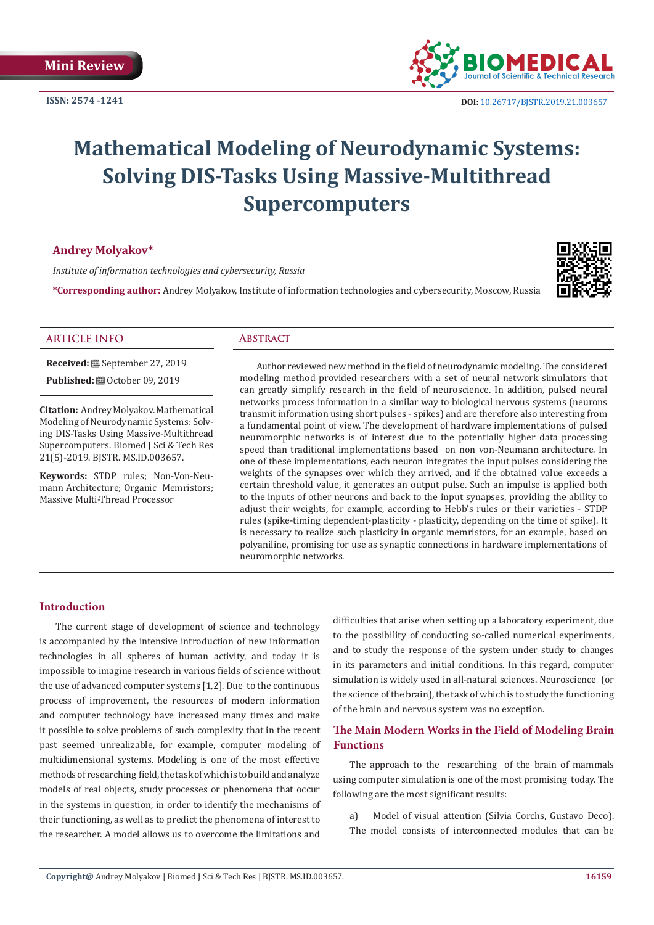

# **Mathematical Modeling of Neurodynamic Systems: Solving DIS-Tasks Using Massive-Multithread Supercomputers**

# **Andrey Molyakov\***

*Institute of information technologies and cybersecurity, Russia*

**\*Corresponding author:** Andrey Molyakov, Institute of information technologies and cybersecurity, Moscow, Russia



#### **ARTICLE INFO Abstract**

**Received:** September 27, 2019 **Published:**  $\blacksquare$  October 09, 2019

**Citation:** Andrey Molyakov. Mathematical Modeling of Neurodynamic Systems: Solving DIS-Tasks Using Massive-Multithread Supercomputers. Biomed J Sci & Tech Res 21(5)-2019. BJSTR. MS.ID.003657.

**Keywords:** STDP rules; Non-Von-Neumann Architecture; Organic Memristors; Massive Multi-Thread Processor

Author reviewed new method in the field of neurodynamic modeling. The considered modeling method provided researchers with a set of neural network simulators that can greatly simplify research in the field of neuroscience. In addition, pulsed neural networks process information in a similar way to biological nervous systems (neurons transmit information using short pulses - spikes) and are therefore also interesting from a fundamental point of view. The development of hardware implementations of pulsed neuromorphic networks is of interest due to the potentially higher data processing speed than traditional implementations based on non von-Neumann architecture. In one of these implementations, each neuron integrates the input pulses considering the weights of the synapses over which they arrived, and if the obtained value exceeds a certain threshold value, it generates an output pulse. Such an impulse is applied both to the inputs of other neurons and back to the input synapses, providing the ability to adjust their weights, for example, according to Hebb's rules or their varieties - STDP rules (spike-timing dependent-plasticity - plasticity, depending on the time of spike). It is necessary to realize such plasticity in organic memristors, for an example, based on polyaniline, promising for use as synaptic connections in hardware implementations of neuromorphic networks.

# **Introduction**

The current stage of development of science and technology is accompanied by the intensive introduction of new information technologies in all spheres of human activity, and today it is impossible to imagine research in various fields of science without the use of advanced computer systems [1,2]. Due to the continuous process of improvement, the resources of modern information and computer technology have increased many times and make it possible to solve problems of such complexity that in the recent past seemed unrealizable, for example, computer modeling of multidimensional systems. Modeling is one of the most effective methods of researching field, the task of which is to build and analyze models of real objects, study processes or phenomena that occur in the systems in question, in order to identify the mechanisms of their functioning, as well as to predict the phenomena of interest to the researcher. A model allows us to overcome the limitations and

difficulties that arise when setting up a laboratory experiment, due to the possibility of conducting so-called numerical experiments, and to study the response of the system under study to changes in its parameters and initial conditions. In this regard, computer simulation is widely used in all-natural sciences. Neuroscience (or the science of the brain), the task of which is to study the functioning of the brain and nervous system was no exception.

# **The Main Modern Works in the Field of Modeling Brain Functions**

The approach to the researching of the brain of mammals using computer simulation is one of the most promising today. The following are the most significant results:

a) Мodel of visual attention (Silvia Corchs, Gustavo Deco). The model consists of interconnected modules that can be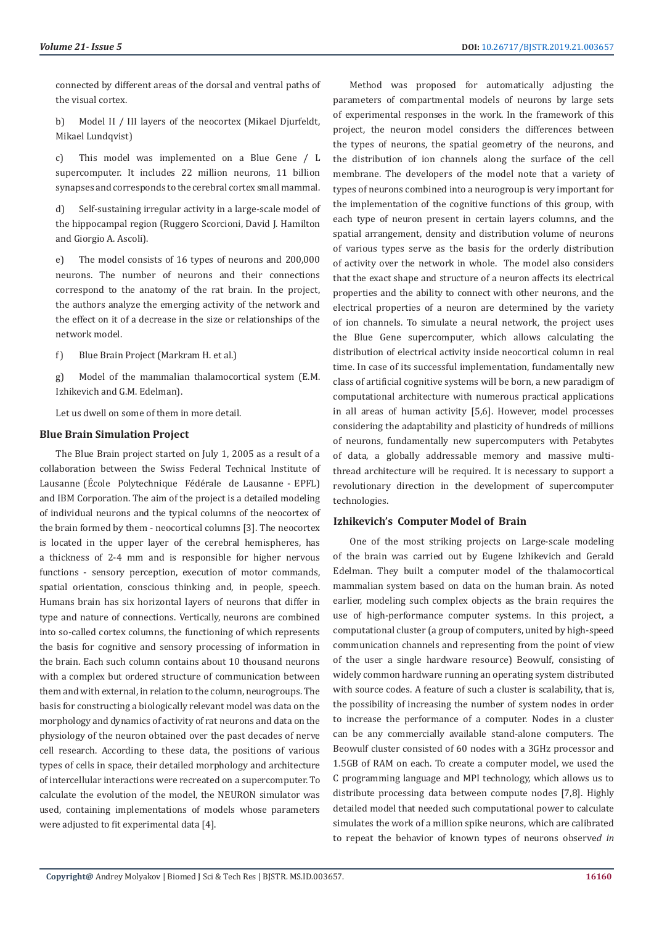connected by different areas of the dorsal and ventral paths of the visual cortex.

b) Model II / III layers of the neocortex (Mikael Djurfeldt, Mikael Lundqvist)

c) This model was implemented on a Blue Gene / L supercomputer. It includes 22 million neurons, 11 billion synapses and corresponds to the cerebral cortex small mammal.

d) Self-sustaining irregular activity in a large-scale model of the hippocampal region (Ruggero Scorcioni, David J. Hamilton and Giorgio A. Ascoli).

e) The model consists of 16 types of neurons and 200,000 neurons. The number of neurons and their connections correspond to the anatomy of the rat brain. In the project, the authors analyze the emerging activity of the network and the effect on it of a decrease in the size or relationships of the network model.

f) Blue Brain Project (Markram H. et al.)

g) Model of the mammalian thalamocortical system (E.M. Izhikevich and G.M. Edelman).

Let us dwell on some of them in more detail.

#### **Blue Brain Simulation Project**

The Blue Brain project started on July 1, 2005 as a result of a collaboration between the Swiss Federal Technical Institute of Lausanne (École Polytechnique Fédérale de Lausanne - EPFL) and IBM Corporation. The aim of the project is a detailed modeling of individual neurons and the typical columns of the neocortex of the brain formed by them - neocortical columns [3]. The neocortex is located in the upper layer of the cerebral hemispheres, has a thickness of 2-4 mm and is responsible for higher nervous functions - sensory perception, execution of motor commands, spatial orientation, conscious thinking and, in people, speech. Humans brain has six horizontal layers of neurons that differ in type and nature of connections. Vertically, neurons are combined into so-called cortex columns, the functioning of which represents the basis for cognitive and sensory processing of information in the brain. Each such column contains about 10 thousand neurons with a complex but ordered structure of communication between them and with external, in relation to the column, neurogroups. The basis for constructing a biologically relevant model was data on the morphology and dynamics of activity of rat neurons and data on the physiology of the neuron obtained over the past decades of nerve cell research. According to these data, the positions of various types of cells in space, their detailed morphology and architecture of intercellular interactions were recreated on a supercomputer. To calculate the evolution of the model, the NEURON simulator was used, containing implementations of models whose parameters were adjusted to fit experimental data [4].

Method was proposed for automatically adjusting the parameters of compartmental models of neurons by large sets of experimental responses in the work. In the framework of this project, the neuron model considers the differences between the types of neurons, the spatial geometry of the neurons, and the distribution of ion channels along the surface of the cell membrane. The developers of the model note that a variety of types of neurons combined into a neurogroup is very important for the implementation of the cognitive functions of this group, with each type of neuron present in certain layers columns, and the spatial arrangement, density and distribution volume of neurons of various types serve as the basis for the orderly distribution of activity over the network in whole. The model also considers that the exact shape and structure of a neuron affects its electrical properties and the ability to connect with other neurons, and the electrical properties of a neuron are determined by the variety of ion channels. To simulate a neural network, the project uses the Blue Gene supercomputer, which allows calculating the distribution of electrical activity inside neocortical column in real time. In case of its successful implementation, fundamentally new class of artificial cognitive systems will be born, a new paradigm of computational architecture with numerous practical applications in all areas of human activity [5,6]. However, model processes considering the adaptability and plasticity of hundreds of millions of neurons, fundamentally new supercomputers with Petabytes of data, a globally addressable memory and massive multithread architecture will be required. It is necessary to support a revolutionary direction in the development of supercomputer technologies.

# **Izhikevich's Computer Model of Brain**

One of the most striking projects on Large-scale modeling of the brain was carried out by Eugene Izhikevich and Gerald Edelman. They built a computer model of the thalamocortical mammalian system based on data on the human brain. As noted earlier, modeling such complex objects as the brain requires the use of high-performance computer systems. In this project, a computational cluster (a group of computers, united by high-speed communication channels and representing from the point of view of the user a single hardware resource) Beowulf, consisting of widely common hardware running an operating system distributed with source codes. A feature of such a cluster is scalability, that is, the possibility of increasing the number of system nodes in order to increase the performance of a computer. Nodes in a cluster can be any commercially available stand-alone computers. The Beowulf cluster consisted of 60 nodes with a 3GHz processor and 1.5GB of RAM on each. To create a computer model, we used the C programming language and MPI technology, which allows us to distribute processing data between compute nodes [7,8]. Нighly detailed model that needed such computational power to calculate simulates the work of a million spike neurons, which are calibrated to repeat the behavior of known types of neurons observe*d in*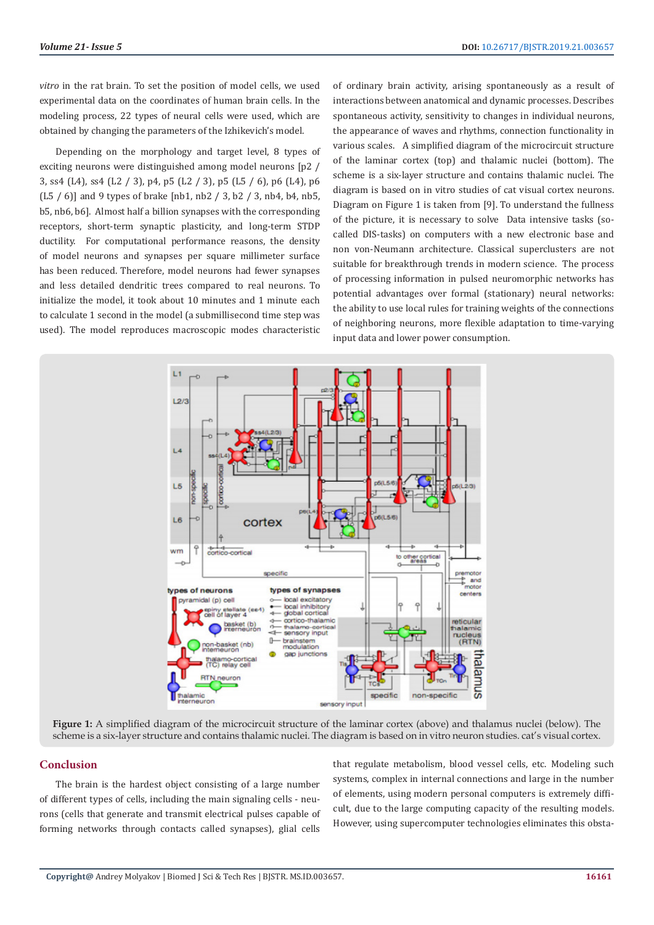*vitro* in the rat brain. To set the position of model cells, we used experimental data on the coordinates of human brain cells. In the modeling process, 22 types of neural cells were used, which are obtained by changing the parameters of the Izhikevich's model.

Depending on the morphology and target level, 8 types of exciting neurons were distinguished among model neurons [p2 / 3, ss4 (L4), ss4 (L2 / 3), p4, p5 (L2 / 3), p5 (L5 / 6), p6 (L4), p6 (L5 / 6)] and 9 types of brake [nb1, nb2 / 3, b2 / 3, nb4, b4, nb5, b5, nb6, b6]. Almost half a billion synapses with the corresponding receptors, short-term synaptic plasticity, and long-term STDP ductility. For computational performance reasons, the density of model neurons and synapses per square millimeter surface has been reduced. Therefore, model neurons had fewer synapses and less detailed dendritic trees compared to real neurons. To initialize the model, it took about 10 minutes and 1 minute each to calculate 1 second in the model (a submillisecond time step was used). The model reproduces macroscopic modes characteristic

of ordinary brain activity, arising spontaneously as a result of interactions between anatomical and dynamic processes. Describes spontaneous activity, sensitivity to changes in individual neurons, the appearance of waves and rhythms, connection functionality in various scales. A simplified diagram of the microcircuit structure of the laminar cortex (top) and thalamic nuclei (bottom). The scheme is a six-layer structure and contains thalamic nuclei. The diagram is based on in vitro studies of cat visual cortex neurons. Diagram on Figure 1 is taken from [9]. To understand the fullness of the picture, it is necessary to solve Data intensive tasks (socalled DIS-tasks) on computers with a new electronic base and non von-Neumann architecture. Classical superclusters are not suitable for breakthrough trends in modern science. The process of processing information in pulsed neuromorphic networks has potential advantages over formal (stationary) neural networks: the ability to use local rules for training weights of the connections of neighboring neurons, more flexible adaptation to time-varying input data and lower power consumption.



**Figure 1:** A simplified diagram of the microcircuit structure of the laminar cortex (above) and thalamus nuclei (below). The scheme is a six-layer structure and contains thalamic nuclei. The diagram is based on in vitro neuron studies. cat's visual cortex.

### **Conclusion**

The brain is the hardest object consisting of a large number of different types of cells, including the main signaling cells - neurons (cells that generate and transmit electrical pulses capable of forming networks through contacts called synapses), glial cells

that regulate metabolism, blood vessel cells, etc. Modeling such systems, complex in internal connections and large in the number of elements, using modern personal computers is extremely difficult, due to the large computing capacity of the resulting models. However, using supercomputer technologies eliminates this obsta